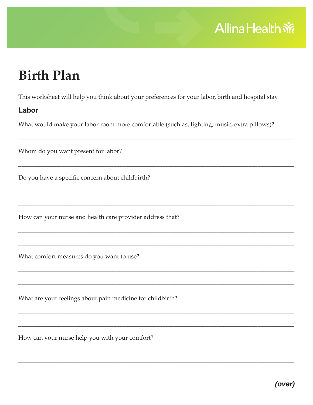## **Allina Health 帝**

# **Birth Plan**

This worksheet will help you think about your preferences for your labor, birth and hospital stay.

## Labor

What would make your labor room more comfortable (such as, lighting, music, extra pillows)?

Whom do you want present for labor?

Do you have a specific concern about childbirth?

How can your nurse and health care provider address that?

What comfort measures do you want to use?

What are your feelings about pain medicine for childbirth?

How can your nurse help you with your comfort?